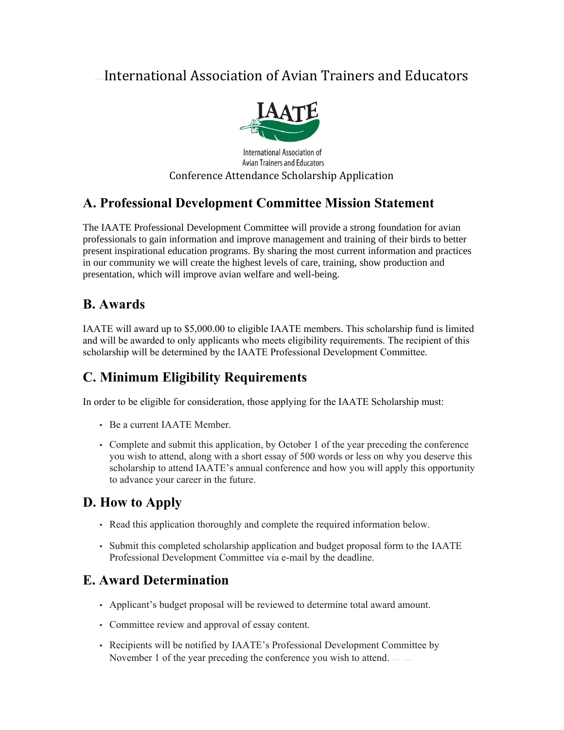# International Association of Avian Trainers and Educators



**International Association of Avian Trainers and Educators** Conference Attendance Scholarship Application

## **A. Professional Development Committee Mission Statement**

The IAATE Professional Development Committee will provide a strong foundation for avian professionals to gain information and improve management and training of their birds to better present inspirational education programs. By sharing the most current information and practices in our community we will create the highest levels of care, training, show production and presentation, which will improve avian welfare and well-being.

### **B. Awards**

IAATE will award up to \$5,000.00 to eligible IAATE members. This scholarship fund is limited and will be awarded to only applicants who meets eligibility requirements. The recipient of this scholarship will be determined by the IAATE Professional Development Committee.

# **C. Minimum Eligibility Requirements**

In order to be eligible for consideration, those applying for the IAATE Scholarship must:

- Be a current IAATE Member.
- Complete and submit this application, by October 1 of the year preceding the conference you wish to attend, along with a short essay of 500 words or less on why you deserve this scholarship to attend IAATE's annual conference and how you will apply this opportunity to advance your career in the future.

### **D. How to Apply**

- Read this application thoroughly and complete the required information below.
- Submit this completed scholarship application and budget proposal form to the IAATE Professional Development Committee via e-mail by the deadline.

### **E. Award Determination**

- Applicant's budget proposal will be reviewed to determine total award amount.
- Committee review and approval of essay content.
- Recipients will be notified by IAATE's Professional Development Committee by November 1 of the year preceding the conference you wish to attend.  $\equiv$